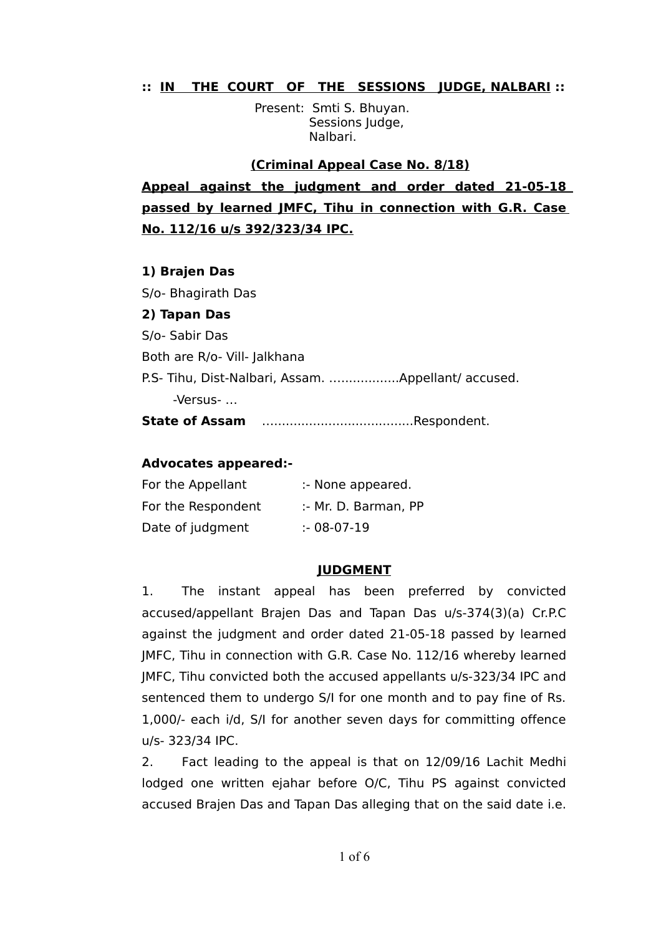# **:: IN THE COURT OF THE SESSIONS JUDGE, NALBARI ::**

 Present: Smti S. Bhuyan. Sessions Judge, Nalbari.

 **(Criminal Appeal Case No. 8/18) Appeal against the judgment and order dated 21-05-18 passed by learned JMFC, Tihu in connection with G.R. Case No. 112/16 u/s 392/323/34 IPC.**

#### **1) Brajen Das**

S/o- Bhagirath Das

### **2) Tapan Das**

S/o- Sabir Das Both are R/o- Vill- Jalkhana P.S- Tihu, Dist-Nalbari, Assam. …...............Appellant/ accused. -Versus- …

**State of Assam** …....................................Respondent.

## **Advocates appeared:-**

| For the Appellant  | :- None appeared.    |
|--------------------|----------------------|
| For the Respondent | :- Mr. D. Barman, PP |
| Date of judgment   | $: 08-07-19$         |

### **JUDGMENT**

1. The instant appeal has been preferred by convicted accused/appellant Brajen Das and Tapan Das u/s-374(3)(a) Cr.P.C against the judgment and order dated 21-05-18 passed by learned JMFC, Tihu in connection with G.R. Case No. 112/16 whereby learned JMFC, Tihu convicted both the accused appellants u/s-323/34 IPC and sentenced them to undergo S/I for one month and to pay fine of Rs. 1,000/- each i/d, S/I for another seven days for committing offence u/s- 323/34 IPC.

2. Fact leading to the appeal is that on 12/09/16 Lachit Medhi lodged one written ejahar before O/C, Tihu PS against convicted accused Brajen Das and Tapan Das alleging that on the said date i.e.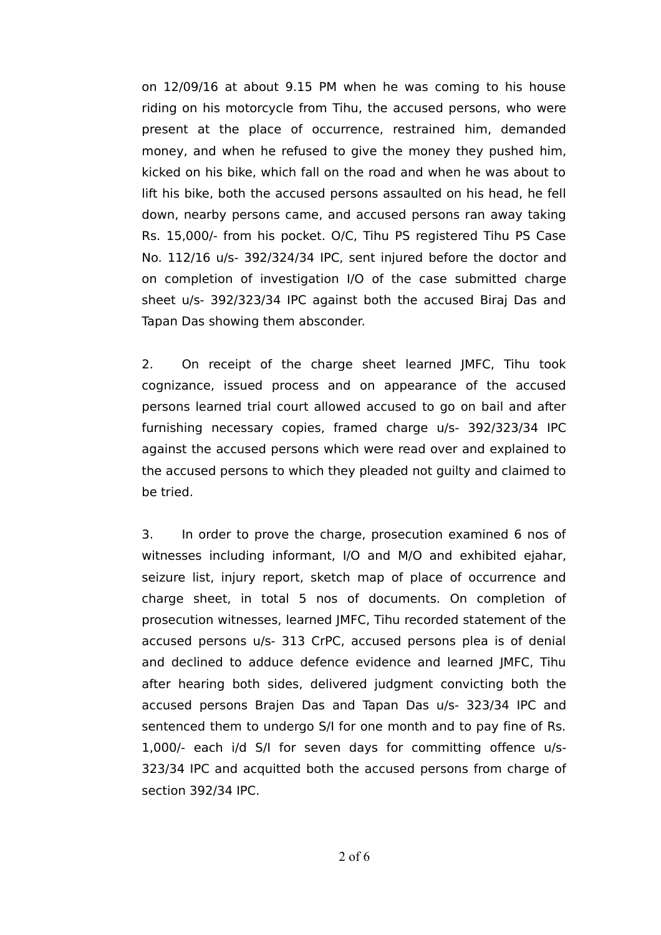on 12/09/16 at about 9.15 PM when he was coming to his house riding on his motorcycle from Tihu, the accused persons, who were present at the place of occurrence, restrained him, demanded money, and when he refused to give the money they pushed him, kicked on his bike, which fall on the road and when he was about to lift his bike, both the accused persons assaulted on his head, he fell down, nearby persons came, and accused persons ran away taking Rs. 15,000/- from his pocket. O/C, Tihu PS registered Tihu PS Case No. 112/16 u/s- 392/324/34 IPC, sent injured before the doctor and on completion of investigation I/O of the case submitted charge sheet u/s- 392/323/34 IPC against both the accused Biraj Das and Tapan Das showing them absconder.

2. On receipt of the charge sheet learned JMFC, Tihu took cognizance, issued process and on appearance of the accused persons learned trial court allowed accused to go on bail and after furnishing necessary copies, framed charge u/s- 392/323/34 IPC against the accused persons which were read over and explained to the accused persons to which they pleaded not guilty and claimed to be tried.

3. In order to prove the charge, prosecution examined 6 nos of witnesses including informant, I/O and M/O and exhibited ejahar, seizure list, injury report, sketch map of place of occurrence and charge sheet, in total 5 nos of documents. On completion of prosecution witnesses, learned JMFC, Tihu recorded statement of the accused persons u/s- 313 CrPC, accused persons plea is of denial and declined to adduce defence evidence and learned JMFC, Tihu after hearing both sides, delivered judgment convicting both the accused persons Brajen Das and Tapan Das u/s- 323/34 IPC and sentenced them to undergo S/I for one month and to pay fine of Rs. 1,000/- each i/d S/I for seven days for committing offence u/s-323/34 IPC and acquitted both the accused persons from charge of section 392/34 IPC.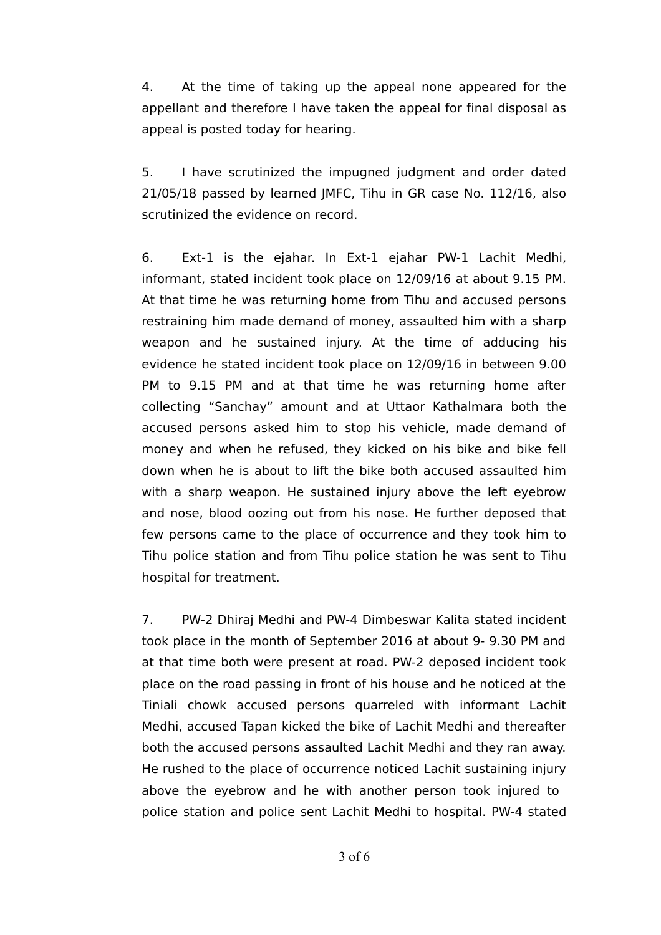4. At the time of taking up the appeal none appeared for the appellant and therefore I have taken the appeal for final disposal as appeal is posted today for hearing.

5. I have scrutinized the impugned judgment and order dated 21/05/18 passed by learned JMFC, Tihu in GR case No. 112/16, also scrutinized the evidence on record.

6. Ext-1 is the ejahar. In Ext-1 ejahar PW-1 Lachit Medhi, informant, stated incident took place on 12/09/16 at about 9.15 PM. At that time he was returning home from Tihu and accused persons restraining him made demand of money, assaulted him with a sharp weapon and he sustained injury. At the time of adducing his evidence he stated incident took place on 12/09/16 in between 9.00 PM to 9.15 PM and at that time he was returning home after collecting "Sanchay" amount and at Uttaor Kathalmara both the accused persons asked him to stop his vehicle, made demand of money and when he refused, they kicked on his bike and bike fell down when he is about to lift the bike both accused assaulted him with a sharp weapon. He sustained injury above the left eyebrow and nose, blood oozing out from his nose. He further deposed that few persons came to the place of occurrence and they took him to Tihu police station and from Tihu police station he was sent to Tihu hospital for treatment.

7. PW-2 Dhiraj Medhi and PW-4 Dimbeswar Kalita stated incident took place in the month of September 2016 at about 9- 9.30 PM and at that time both were present at road. PW-2 deposed incident took place on the road passing in front of his house and he noticed at the Tiniali chowk accused persons quarreled with informant Lachit Medhi, accused Tapan kicked the bike of Lachit Medhi and thereafter both the accused persons assaulted Lachit Medhi and they ran away. He rushed to the place of occurrence noticed Lachit sustaining injury above the eyebrow and he with another person took injured to police station and police sent Lachit Medhi to hospital. PW-4 stated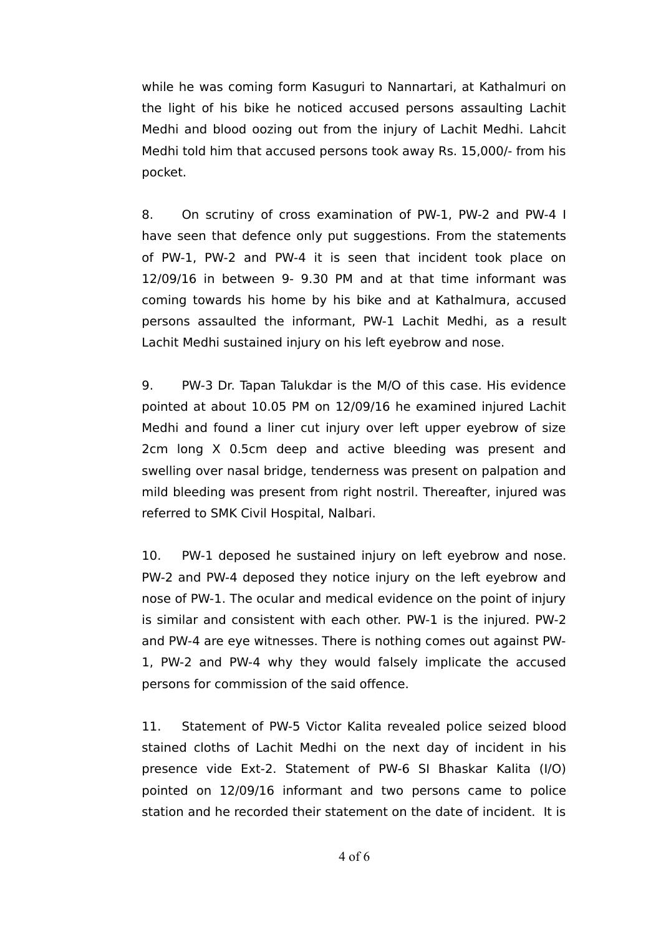while he was coming form Kasuguri to Nannartari, at Kathalmuri on the light of his bike he noticed accused persons assaulting Lachit Medhi and blood oozing out from the injury of Lachit Medhi. Lahcit Medhi told him that accused persons took away Rs. 15,000/- from his pocket.

8. On scrutiny of cross examination of PW-1, PW-2 and PW-4 I have seen that defence only put suggestions. From the statements of PW-1, PW-2 and PW-4 it is seen that incident took place on 12/09/16 in between 9- 9.30 PM and at that time informant was coming towards his home by his bike and at Kathalmura, accused persons assaulted the informant, PW-1 Lachit Medhi, as a result Lachit Medhi sustained injury on his left eyebrow and nose.

9. PW-3 Dr. Tapan Talukdar is the M/O of this case. His evidence pointed at about 10.05 PM on 12/09/16 he examined injured Lachit Medhi and found a liner cut injury over left upper eyebrow of size 2cm long X 0.5cm deep and active bleeding was present and swelling over nasal bridge, tenderness was present on palpation and mild bleeding was present from right nostril. Thereafter, injured was referred to SMK Civil Hospital, Nalbari.

10. PW-1 deposed he sustained injury on left eyebrow and nose. PW-2 and PW-4 deposed they notice injury on the left eyebrow and nose of PW-1. The ocular and medical evidence on the point of injury is similar and consistent with each other. PW-1 is the injured. PW-2 and PW-4 are eye witnesses. There is nothing comes out against PW-1, PW-2 and PW-4 why they would falsely implicate the accused persons for commission of the said offence.

11. Statement of PW-5 Victor Kalita revealed police seized blood stained cloths of Lachit Medhi on the next day of incident in his presence vide Ext-2. Statement of PW-6 SI Bhaskar Kalita (I/O) pointed on 12/09/16 informant and two persons came to police station and he recorded their statement on the date of incident. It is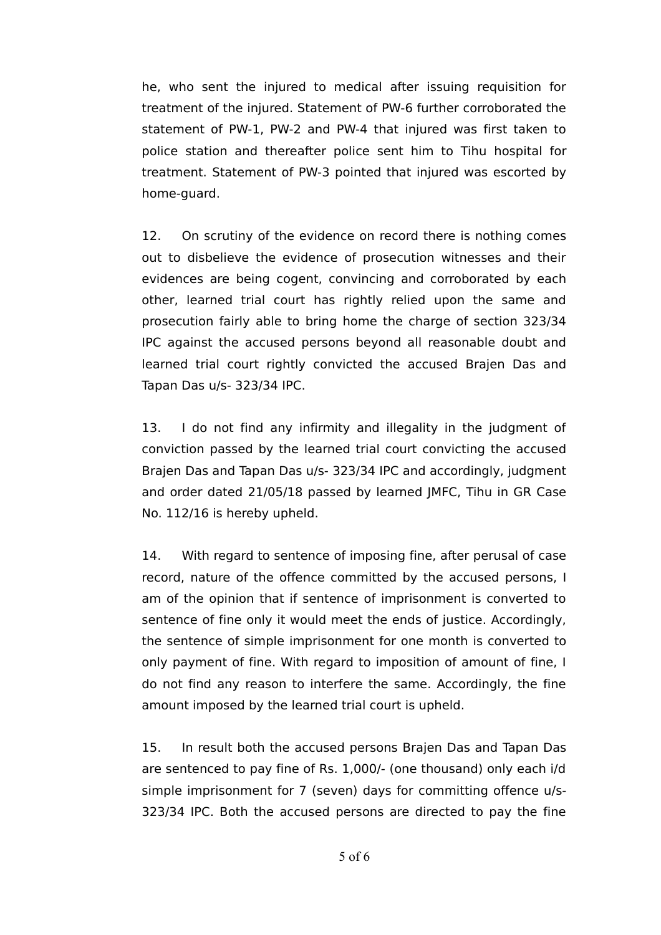he, who sent the injured to medical after issuing requisition for treatment of the injured. Statement of PW-6 further corroborated the statement of PW-1, PW-2 and PW-4 that injured was first taken to police station and thereafter police sent him to Tihu hospital for treatment. Statement of PW-3 pointed that injured was escorted by home-guard.

12. On scrutiny of the evidence on record there is nothing comes out to disbelieve the evidence of prosecution witnesses and their evidences are being cogent, convincing and corroborated by each other, learned trial court has rightly relied upon the same and prosecution fairly able to bring home the charge of section 323/34 IPC against the accused persons beyond all reasonable doubt and learned trial court rightly convicted the accused Brajen Das and Tapan Das u/s- 323/34 IPC.

13. I do not find any infirmity and illegality in the judgment of conviction passed by the learned trial court convicting the accused Brajen Das and Tapan Das u/s- 323/34 IPC and accordingly, judgment and order dated 21/05/18 passed by learned JMFC, Tihu in GR Case No. 112/16 is hereby upheld.

14. With regard to sentence of imposing fine, after perusal of case record, nature of the offence committed by the accused persons, I am of the opinion that if sentence of imprisonment is converted to sentence of fine only it would meet the ends of justice. Accordingly, the sentence of simple imprisonment for one month is converted to only payment of fine. With regard to imposition of amount of fine, I do not find any reason to interfere the same. Accordingly, the fine amount imposed by the learned trial court is upheld.

15. In result both the accused persons Brajen Das and Tapan Das are sentenced to pay fine of Rs. 1,000/- (one thousand) only each i/d simple imprisonment for 7 (seven) days for committing offence u/s-323/34 IPC. Both the accused persons are directed to pay the fine